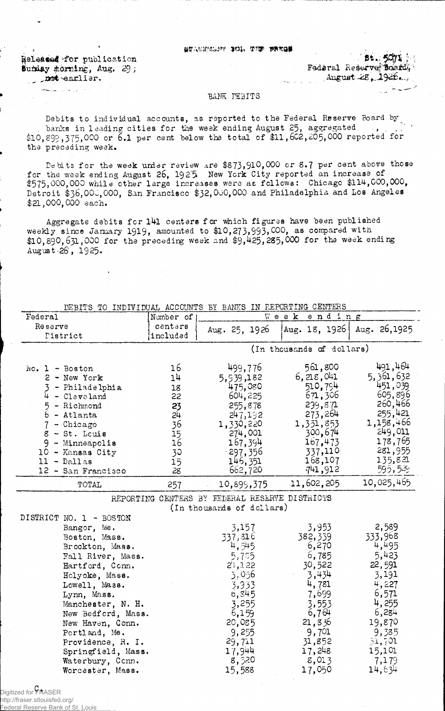; ethnology and the second second  $\{B_{\mathcal{A}}\}$  .

^©iali^al^for publication •.' Sumday morning, Aug.  $29$ ;  $\frac{1}{3}$   $\frac{1}{3}$   $\frac{1}{3}$ 

ر<br>د افغانستان جوان المستحدة

August- $\approx$ ,  $1926...$ 

## BANK **DEBITS**

Debits to individual accounts, as reported to the Federal Reserve Board by  $\blacksquare$ , banks in leading cities for the week ending August 25, aggregated  $\qquad$  , ...  $\qquad$ \$10, S99 >375,000 or S.l per cent below the total of \$11,602,£05,000 reported for the preceding week.

Debits for the week under review are \$873,910,000 or 8.7 per cent above those for the week ending August 26, 1925. New York City reported an increase of  $$575,000,000$  while other large increases were as follows: Chicago  $$114,000,000$ , Detroit \$36,000,000, San Francisco \$32,000,000 and Philadelphia and Los Angeles \$21,000,000 each.

Aggregate debits for 141 centers for which figures have been published weekly since January 1919, amounted to \$10,273,993,000, as compared with  $$10,890,631,000$  for the preceding week and  $$9,425,285,000$  for the week ending August-26, 1925.

| DEBITS TO INDIVIDUAL ACCOUNTS BY BANKS IN REPORTING CENTERS |           |                                                |                           |              |  |
|-------------------------------------------------------------|-----------|------------------------------------------------|---------------------------|--------------|--|
| Federal                                                     | Number of |                                                | $W$ eek<br>ending         |              |  |
| Reserve                                                     | centers   | Aug. 25, 1926                                  | Aug. 18, 1926             | Aug. 26,1925 |  |
| Pistrict                                                    | included  |                                                |                           |              |  |
|                                                             |           |                                                | (In thousands of dollars) |              |  |
|                                                             |           |                                                |                           |              |  |
| $No. 1 - Boston$                                            | 16        | 499,776                                        | 561,800                   | 491,464      |  |
| 2 - New York                                                | 14        | 5,939,182                                      | 6,218,041                 | 5,361,632    |  |
| 3 - Philadelphia                                            | 18        | 475,080                                        | 510,794                   | 451,039      |  |
| 4<br>$-Cleveland$                                           | 22        | 604,225                                        | 671,306                   | 605,896      |  |
| $5 -$ Richmond<br>$6 -$ Atlanta                             | 23        | 255,878                                        | 239,871                   | 260,466      |  |
| - Atlanta                                                   | 24        | 247,192                                        | 273,264                   | 255,421      |  |
| 7<br>$-$ Chicago                                            | 36        | 1,330,220                                      | 1,351,853                 | 1,158,466    |  |
| $8 - St.$ Leuis                                             | 15        | 274,001                                        | 300,674                   | 249,011      |  |
| $9 -$ Minneapolis                                           | 16        | 167,394                                        | 167,473                   | 178,765      |  |
| 10 - Kansas City                                            | 30        | $-297,356$                                     | 337,110                   | 281,955      |  |
| $11 - Dallas$                                               | 15        | 146,351                                        | 168,107                   | 1.35,821     |  |
| 12 - San Francisco                                          | 28        | 662,720                                        | 741,912                   | 595,529      |  |
| TOTAL                                                       | 257       | 10,899,375                                     | 11,602,205                | 10,025,465   |  |
|                                                             |           | REPORTING CENTERS BY FEDERAL RESERVE DISTRICTS |                           |              |  |
|                                                             |           | (In thousands of dollars)                      |                           |              |  |
| DISTRICT NO. 1 - BOSTON                                     |           |                                                |                           |              |  |
| Bangor, Me.                                                 |           | 3,157                                          | 3,953                     | 2,589        |  |
| Boston, Mass.                                               |           | 337,816                                        | 382,339                   | 333,968      |  |
| Brockton, Mass.                                             |           | 4,545                                          | 6,270                     | 4,495        |  |
| Fall River, Mass.                                           |           | 5,755                                          | 6,785                     | 5,423        |  |
| Hartford, Conn.                                             |           | 2!,122                                         | 30,522                    | 22,591       |  |
| Helyoke, Mass.                                              |           | 5,056                                          | 3,434                     | 3,191        |  |
| Lowell, Mass.                                               |           | 3,933                                          | 4,781                     | 4,227        |  |
| Lynn, Mass.                                                 |           | 6,845                                          | 7,699                     | 6,571        |  |
| Manchester, N. H.                                           |           | 3,255                                          | 3,553                     | 4,255        |  |
| New Bedford, Mass.                                          |           | 6,159                                          | 6,764                     | 6,284        |  |
| New Haven, Conn.                                            |           | 20,085                                         | 21,836                    | 19,870       |  |
| Portland, Me.                                               |           | 9,255                                          | 9,701                     | 9,385        |  |
| Providence, R. I.                                           |           | 29,711                                         | 31,852                    | 31,701       |  |
| Springfield, Mass.                                          |           | 17,944                                         | 17,248                    | 15,101       |  |
| Waterbury, Conn.                                            |           | 8,520                                          | 8,013                     | 7,179        |  |
| Worcester, Mass.                                            |           | 15,588                                         | 17,050                    | 14,634       |  |
|                                                             |           |                                                |                           |              |  |

Digitized for **FRASER** http://fraser.stlouisfed.org/

Federal Reserve Bank of St. Louis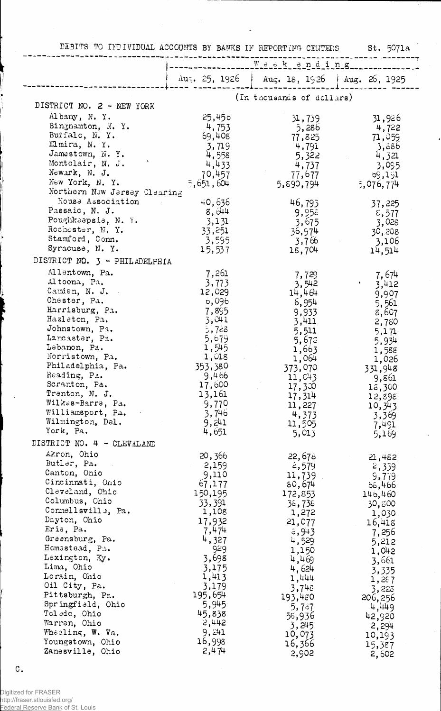| DEBITS TO INDIVIDUAL ACCOUNTS BY BANKS IN REPORTING CENTERS |                         |                               | St. 5071a           |
|-------------------------------------------------------------|-------------------------|-------------------------------|---------------------|
|                                                             |                         | Weekending                    |                     |
|                                                             | $\Delta u_5$ , 25, 1926 | Aug. 18, 1926   Aug. 26, 1925 |                     |
|                                                             |                         | (In thousands of dollars)     |                     |
| DISTRICT NO. 2 - NEW YORK                                   |                         |                               |                     |
| Albany, N.Y.                                                | 25,456                  | 51,759                        | 31,926              |
| Binghamton, N.Y.                                            | 4,753                   | 5,286                         | 4,722               |
| Buifalo, N.Y.                                               | 69,408                  | 77,825                        | 71,059              |
| Elmira, N.Y.                                                | 3,719                   | 4,791                         | 86ة,ۆ               |
| Jamestown, N.Y.                                             | 4,558                   | 5,322                         | 4,321               |
| Montclair, N. J.<br>Newark, N. J.                           | 4,433                   | 4,737                         | 3,095               |
| New York, N. Y.                                             | 70,457<br>5,651,604     | 77,677<br>5,890,794           | 69,151              |
| Northern New Jersey Clearing                                |                         |                               | 5,076,774           |
| House Association                                           | 40,636                  | 46,793                        | 37,225              |
| Passaic, N. J.                                              | 8,∂44                   | 9,956                         | $\varepsilon$ , 577 |
| Poughkeepsie, N. Y.                                         | 3,131                   | 3,675                         | 3,028               |
| Rochester, N.Y.                                             | 33,251                  | 36,974                        | 30,208              |
| Stamford, Conn.<br>Syracuse, N.Y.                           | 3,595                   | 3,766                         | 3,106               |
| DISTRICT NO. 3 - PHILADELPHIA                               | 15,537                  | 18,704                        | 14,514              |
| Allentown, Pa.                                              |                         |                               |                     |
| Altoona, Pa.                                                | 7,261<br>3,773          | 7,729<br>3,542                | 7,674               |
| Camden, N. J.                                               | 12,029                  | 14,464                        | 3,412<br>9,907      |
| Chester, Pa.                                                | o,096                   | 6,954                         | 5,561               |
| Harrisburg, Pa.                                             | 7,895                   | 9,933                         | 8,607               |
| Hazleton, Pa.                                               | 3,011                   | 3,411                         | 2,780               |
| Johnstown, Pa.                                              | 5,728                   | 5,511                         | 5,171               |
| Lancaster, Pa.<br>Lebanon, Pa.                              | 5,679<br>1,545          | 5,675                         | 5,934               |
| Norristown, Pa.                                             | 1,018                   | 1,663<br>1,064                | 1,588               |
| Philadelphia, Pa.                                           | 353,380                 | 373,070                       | 1,026<br>331,948    |
| Reading, Pa.                                                | 9,466                   | 11,C43                        | 9,861               |
| Scranton, Pa.                                               | 17,600                  | 17,300                        | 13,300              |
| Trenton, N. J.                                              | 13,161                  | 17,314                        | 12,898              |
| Wilkes-Barre, Pa.<br>Williamsport, Pa.                      | 9,770<br>3,746          | 11,227                        | 10,343              |
| Wilmington, Del.                                            | 9,241                   | 4,373<br>11,505               | 3,369<br>7,491      |
| York, Pa.                                                   | 4,651                   | 5,013                         | 5,169               |
| DISTRICT NO. 4 - CLEVELAND                                  |                         |                               |                     |
| Akron, Ohio                                                 | 20,366                  | 22,678                        | 21,452              |
| Butler, Pa.                                                 | 2,159                   | 2,579                         | 2,339               |
| Canton, Ohio                                                | 9,110                   | 11,739                        | 9,779               |
| Cincinnati, Onio<br>Cleveland, Ohio                         | 67,177<br>150,195       | 80,674                        | 65,466              |
| Columbus, Ohio                                              | 33,391                  | 172,853<br>38,738             | 146,460<br>30,800   |
| Connellsville, Pa.                                          | 1,108                   | 1,272                         | 1,030               |
| Dayton, Ohio                                                | 17,932                  | 21,077                        | 16,418              |
| Erie, Pa.                                                   | 7,474                   | 5,943                         | 7,256               |
| Greensburg, Pa.<br>Homestead, Pa.                           | 4,327<br>929            | 4,529                         | 5,212               |
| Lexington, Ky.                                              | 3,698                   | 1,150<br>4,469                | 1,042               |
| Lima, Ohio                                                  | 3,175                   | 4,624                         | 3,661               |
| Lorain, Ohio                                                | 1,413                   | 1,444                         | 3,335<br>1,287      |
| Oil City, Pa.                                               | 3,179                   | 3,748                         | 3,223               |
| Pittsburgh, Pa.                                             | 195,654                 | 193,480                       | 206, 256            |
| Springfield, Ohio<br>Toledo, Ohio                           | 5,945<br>45,838         | 5,787                         | 4,449               |
| Warren, Ohio                                                | 2,442                   | 58,936                        | 42,920              |
| Wheeling, W. Va.                                            | 9,241                   | 3,245<br>10,073               | 2,294<br>10,193     |
| Youngstown, Ohio                                            | 16,998                  | 16,366                        | 15,387              |
| Zanesville, Ohio                                            | 2,474                   | 2,902                         | 2,602               |

 $\sim$ 

÷,

Digitized for FRASER http://fraser.stlouisfed.org/ Federal Reserve Bank of St. Louis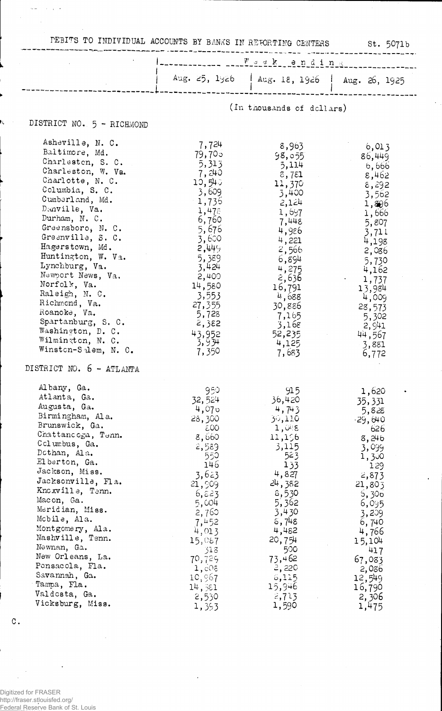|  |  | . EBITS TO INDIVIDUAL ACCOUNTS BY BANKS IN REFORTING CENTER |  |  |  |  |  |  |
|--|--|-------------------------------------------------------------|--|--|--|--|--|--|
|--|--|-------------------------------------------------------------|--|--|--|--|--|--|

## $st. 5071b$

|                                                         | $W$ sekending             |                                               |                          |  |
|---------------------------------------------------------|---------------------------|-----------------------------------------------|--------------------------|--|
|                                                         |                           | Aug. 25, 1926   Aug. 18, 1926   Aug. 26, 1925 |                          |  |
|                                                         | (In thousands of dellars) |                                               |                          |  |
| DISTRICT NO. 5 - RICHMOND                               |                           |                                               |                          |  |
| Asheville, N. C.<br>Baltimore, Md.<br>Charleston, S. C. | 7,724<br>79,705<br>5,313  | 8,963<br>98,055<br>5,114                      | 6,013<br>86,449<br>6,666 |  |

| Charleston, W. Va.<br>Charlotte, N. C.<br>Columbia, S. C.<br>Cumberland, Md.<br>Dinville, Va.<br>Durham, N. C.<br>Greensboro, N. C.<br>Greenville, S. C.<br>Hagerstown, Md.<br>Huntington, W. Va.<br>Lynchburg, Va.<br>Newport News, Va.<br>Norfolk, Va.<br>Raleigh, N. C.<br>Richmond, Va.<br>Roanoke, Va.<br>Spartanburg, S. C.<br>Washington, D. C. | 7,240<br>10,540<br>3,609<br>1,735<br>1,478<br>6,760<br>5,676<br>3,600<br>2,449<br>5,389<br>3,424<br>2,400<br>14,580<br>3,553<br>27,355<br>5,728<br>2,382 | ,,<br>3,781<br>11,370<br>3,400<br>2,124<br>1,697<br>7,448<br>4,986<br>4,221<br>2,566<br>6,894<br>4,275<br>2,636<br>16,791<br>4,688<br>30,886<br>7,165<br>3,168 | $\backsim$ , $\sim$<br>8,462<br>8,292<br>3,562<br>1,806<br>1,666<br>5,807<br>3,711<br>4,198<br>2,086<br>5,730<br>4,162<br>1,737<br>13,984<br>4,009<br>28,573<br>5,302<br>2,941 |
|--------------------------------------------------------------------------------------------------------------------------------------------------------------------------------------------------------------------------------------------------------------------------------------------------------------------------------------------------------|----------------------------------------------------------------------------------------------------------------------------------------------------------|----------------------------------------------------------------------------------------------------------------------------------------------------------------|--------------------------------------------------------------------------------------------------------------------------------------------------------------------------------|
| Wilminaton, N. C.<br>Winston-Salem, N. C.<br>DISTRICT NO. 6 - ATLANTA                                                                                                                                                                                                                                                                                  | 43,952<br>3,934<br>7,350                                                                                                                                 | 52,235<br>4,125<br>7,683                                                                                                                                       | 44,567<br>3,881<br>6,772                                                                                                                                                       |
| Albany, Ga.<br>Atlanta, Ga.<br>Augusta, Ga.<br>Birmingham, Ala.<br>Brunswick, Ga.<br>Chattancoga, Tenn.<br>Columbus, Ga.<br>Dothan, Ala.                                                                                                                                                                                                               | 950<br>32,524<br>4,070<br>28,300<br>600<br>8,660<br>2,589<br>550                                                                                         | 915<br>36,420<br>4,743<br>30,110<br>1,048<br>11,156<br>3,115<br>523                                                                                            | 1,620<br>35,331<br>5,828<br>-29,640<br>626<br>8,246<br>3,099<br>1,300                                                                                                          |
| Elberton, Ga.<br>Jackson, Miss.<br>Jacksonville, Fla.<br>Knoxville, Tenn.<br>Macon, Ga.<br>Meridian, Miss.<br>Mcbile, Ala.<br>Montgomery, Ala.<br>Nashville, Tenn.                                                                                                                                                                                     | 146<br>3,623<br>21,909<br>6,823<br>5,004<br>2,760<br>7,452<br>4,013                                                                                      | 33 ل<br>4,827<br>24,382<br>8,530<br>5,362<br>3,430<br>5,748<br>4,482                                                                                           | 129<br>2,873<br>21,803<br>6,300<br>6,095<br>3,209<br>6,740<br>4,766                                                                                                            |
| Newnan, Ga.<br>New Orleans, La.<br>Pensacola, Fla.<br>Savannah, Ga.<br>Tampa, Fla.<br>Valdosta, Ga.<br>Vicksburg, Miss.                                                                                                                                                                                                                                | 15,087<br>318<br>70,729<br>1,005<br>10,967<br>14,351<br>2,530<br>1,393                                                                                   | 20,754<br>500<br>73,462<br>2,220<br>5,115<br>15,946<br>2,713<br>1,590                                                                                          | 15,104<br>417<br>67,083<br>2,036<br>12,549<br>16,790<br>2,306<br>1,475                                                                                                         |

 $\mathtt{C}$  .

 $\bar{\tau}_{\rm esc,obs}$ 

 $\chi \rightarrow$ 

Digitized for FRASER<br>http://fraser.stlouisfed.org/<br>Federal Reserve Bank of St. Louis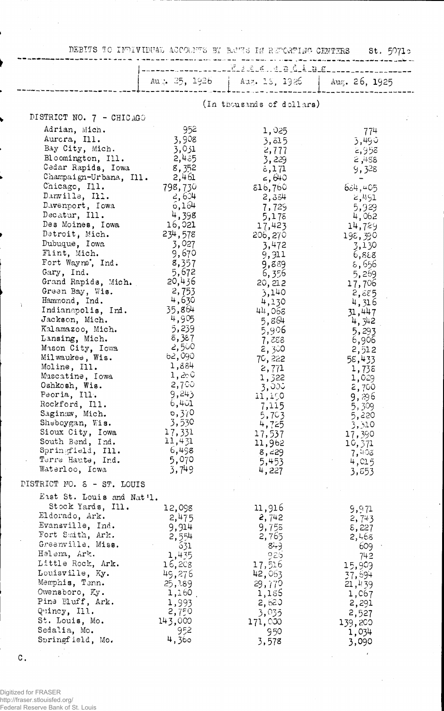DEBITS TO INDIVIDUAL ACCOUNTS BY BENS IN REPORTING CENTERS St. 50710

 $\sim 1$ 

J.

|                                              |                 | Aug. 25, 1926   Aug. 13, 1926 | Aug. 26, 1925   |  |
|----------------------------------------------|-----------------|-------------------------------|-----------------|--|
|                                              |                 | (In thousands of dollars)     |                 |  |
| DISTRICT NO. 7 - CHICAGO                     |                 |                               |                 |  |
| Adrian, Mich.                                | 952             | 1,025                         | 774             |  |
| Aurora, Ill.                                 | 3,908           | 3,815                         | 3,490           |  |
| Bay City, Mich.                              | 3,031           | 2,777                         | 2,958           |  |
| Bloomington, Ill.                            | 2,435           | 3,229                         | 2,488           |  |
| Cedar Rapids, Iowa                           | 8,352           | 5,171                         | 9,328           |  |
| Champaign-Urbana, Ill.                       | 2,461           | $\leq 640$                    |                 |  |
| Chicago, Ill.                                | 798,730         | 816,760                       | 684,405         |  |
| Danville, Ill.<br>Davenport, Iowa            | 2,604<br>6,164  | 2,334                         | 2,491           |  |
| Decatur, Ill.                                | 4,398           | 7,729                         | 5,929<br>4,062  |  |
| Des Moines, Iowa                             | 16,021          | 5,175<br>17,423               | 14,729          |  |
| Detroit, Mich.                               | 234,578         | 206, 270                      | 198,390         |  |
| Dubuque, Iowa                                | 3,027           | 3,472                         | 3,130           |  |
| Flint, Mich.                                 | 9,670           | 9,911                         | 6,888           |  |
| Fort Wayne, Ind.                             | 8,357           | 9,889                         | 5,556           |  |
| Gary, Ind.                                   | 5,672           | 6,356                         | 5,269           |  |
| Grand Rapids, Mich.                          | 20,436          | 20, 212                       | 17,706          |  |
| Green Bay, Wis.                              | 2,753<br>4,630  | 3,140                         | 2,885           |  |
| Hammond, Ind.<br>Ĵ.<br>Indianapolis, Ind.    | 35,864          | 4,130                         | 4,316           |  |
| Jackson, Mich.                               | 4,905           | 44,068<br>5,864               | 31,447          |  |
| Kalamazoo, Mich.                             | 5,239           | 5,906                         | 4, 342<br>5,293 |  |
| Lansing, Mich.                               | 8,387           | 7,288                         | 6,906           |  |
| Mason City, Iowa                             | -2,500          | 2,300                         | 2,512           |  |
| Milwaukee, Wis.                              | 62,090          | 70,222                        | 58,433          |  |
| Moline, Ill.                                 | 1,884           | 2,771                         | 1,738           |  |
| Muscatine, Iowa                              | 1,200           | 1,322                         | 1,029           |  |
| Oshkosh, Wis.                                | -2,700<br>9,243 | 3,000                         | 2,700           |  |
| Peoria, Ill.<br>Rockford, Ill.               | 6,401           | 11,150                        | 9,896           |  |
| Saginaw, Mich.                               | 0,370           | 7,115<br>5,703                | 5,309<br>5,220  |  |
| Sheboygan, Wis.                              | 3,530           | 4,725                         | 3,310           |  |
| Sioux City, Iowa                             | 17,331          | 17,537                        | 17,390          |  |
| South Bend, Ind.                             | 11,431          | 11,962                        | 10,371          |  |
| Springfield, Ill.                            | 6,498           | 8,229                         | 7,403           |  |
| Terre Haute, Ind.                            | 5,070           | 5,453                         | 4,015           |  |
| Waterloo, Iowa<br>DISTRICT NO. 8 - ST. LOUIS | 3,749           | 4,227                         | 3,853           |  |
| East St. Louis and Nat'l.                    |                 |                               |                 |  |
| Stock Yards, Ill.                            | 12,098          | 11,916                        | 9,971           |  |
| Eldorado, Ark.                               | 2,475           | 2,742                         | 2,743           |  |
| Evansville, Ind.                             | 9,914           | 9,755                         | 8,227           |  |
| Fort Smith, Ark.                             | 2,554           | 2,765                         | 2,468           |  |
| Greenville, Miss.                            | 631             | $84 - 9$                      | 609             |  |
| Halena, Ark.                                 | 1,435           | 926                           | 742             |  |
| Little Rock, Ark.<br>Louisville, Ky.         | 16,208          | 17,516                        | 15,909          |  |
| Memphis, Tenn.                               | 49,276          | 42,063                        | 37,694          |  |
| Owensboro, Ky.                               | 25,189<br>1,160 | 29,770<br>1,185               | 21,439<br>1,067 |  |
| Pine Bluff, Ark.                             | 1,993           | 2,620                         | 2,291           |  |
| Quincy, Ill.                                 | 2,750           | 3,035                         | 2,527           |  |
| St. Louis, Mo.                               | 143,000         | 171,000                       | 139,200         |  |
| Sedalia, Mo.                                 | 952             | 950                           | 1,034           |  |
| Springfield, Mo.                             | 4,360           | 3,578                         | 3,090           |  |

 $\mathbf C$  .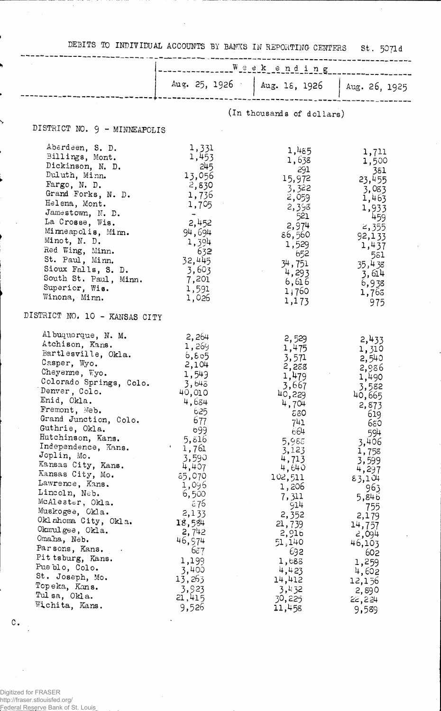DEBITS TO INDIVIDUAL ACCOUNTS BY BANKS IN REPORTING CENTERS St. 5071d

 $\bar{\lambda}$ 

|                                                                                                                                                                                                                                                                                                                                                                                                                                                                                                                                                                              | ___________<br>www.www.www.asternach.com                                                                                                                                                                                                                               |                                                                                                                                                                                                                                                      |                                                                                                                                                                                                                                                   |  |
|------------------------------------------------------------------------------------------------------------------------------------------------------------------------------------------------------------------------------------------------------------------------------------------------------------------------------------------------------------------------------------------------------------------------------------------------------------------------------------------------------------------------------------------------------------------------------|------------------------------------------------------------------------------------------------------------------------------------------------------------------------------------------------------------------------------------------------------------------------|------------------------------------------------------------------------------------------------------------------------------------------------------------------------------------------------------------------------------------------------------|---------------------------------------------------------------------------------------------------------------------------------------------------------------------------------------------------------------------------------------------------|--|
|                                                                                                                                                                                                                                                                                                                                                                                                                                                                                                                                                                              | Aug. $25, 1926$                                                                                                                                                                                                                                                        | Aug. 18, 1926   Aug. 26, 1925                                                                                                                                                                                                                        |                                                                                                                                                                                                                                                   |  |
|                                                                                                                                                                                                                                                                                                                                                                                                                                                                                                                                                                              |                                                                                                                                                                                                                                                                        |                                                                                                                                                                                                                                                      |                                                                                                                                                                                                                                                   |  |
|                                                                                                                                                                                                                                                                                                                                                                                                                                                                                                                                                                              |                                                                                                                                                                                                                                                                        | (In thousands of dollars)                                                                                                                                                                                                                            |                                                                                                                                                                                                                                                   |  |
| DISTRICT NO. 9 - MINNEAPOLIS                                                                                                                                                                                                                                                                                                                                                                                                                                                                                                                                                 |                                                                                                                                                                                                                                                                        |                                                                                                                                                                                                                                                      |                                                                                                                                                                                                                                                   |  |
| Aberdeen, S. D.<br>Billings, Mont.<br>Dickinson, N. D.<br>Duluth, Minn.<br>Fargo, N. D.<br>Grand Forks, N. D.<br>Helena, Mont.<br>Jamestown, N. D.<br>La Crosse, Wis.<br>Minneapolis, Minn.<br>Minot, N. D.<br>Red Wing, Minn.<br>St. Paul, Minn.<br>Sioux Falls, S. D.<br>South St. Paul, Minn.<br>Superior, Wis.<br>Winona, Minn.<br>DISTRICT NO. 10 - KANSAS CITY                                                                                                                                                                                                         | 1,331<br>1,453<br>245<br>13,056<br>2,830<br>1,736<br>1,705<br>$\rightarrow$<br>2,452<br>94,694<br>1,394<br>632<br>32,445<br>3,603<br>7,201<br>1,591<br>1,026                                                                                                           | 1,485<br>1,638<br>291<br>15,972<br>3,322<br>2,059<br>2,398<br>521<br>2,974<br>86,560<br>1,529<br>652<br>34,751<br>4,293<br>6,616<br>1;760<br>1,173                                                                                                   | 1,711<br>1,500<br>381<br>23,455<br>3,083<br>1,463<br>1,933<br>459<br>2,355<br>92,133<br>1,437<br>581<br>35,438<br>3,614<br>6,938<br>1,763<br>975                                                                                                  |  |
| Al buquerque, N. M.<br>Atchison, Kans.<br>Bartlesville, Okla.<br>Casper, Wyo.<br>Cheyenne, Wyo.<br>Colorado Springs, Colo.<br>Denver, Colo.<br>Enid, Okla.<br>Fremont, Neb.<br>Grand Junction, Colo.<br>Guthrie, Okla.<br>Hutchinson, Kans.<br>Independence, Kans.<br>Joplin, Mo.<br>Kansas City, Kans.<br>Kansas City, Mo.<br>Lawrence, Kans.<br>Lincoln, Neb.<br>McAlester, Okla.<br>Muskogee, Okla.<br>Oklahoma City, Okla.<br>Okmulgee, Okla.<br>Omaha, Neb.<br>Parsons, Kans.<br>Pit tsburg, Kans.<br>Pueblo, Colo.<br>St. Joseph, Mo.<br>Topeka, Kans.<br>Tulsa, Okla. | 2,264<br>1,269<br>6, 805<br>2,104<br>1,543<br>3,643<br>40,010<br>4,684<br>625<br>677<br>699<br>5,816<br>$\blacksquare$<br>1,761<br>3,590<br>4,407<br>85,070<br>1,096<br>6,500<br>76ء<br>2,133<br>18,584<br>2,742<br>46,974<br>637<br>1,199<br>3,400<br>13,263<br>3,923 | 2,529<br>1,475<br>3,571<br>2,288<br>1,479<br>3,667<br>40,229<br>4,704<br>680<br>741<br>664<br>5,988<br>3,123<br>4,713<br>4,640<br>102,511<br>1,206<br>7,311<br>914<br>2,352<br>21,739<br>2,916<br>51,140<br>692<br>1,683<br>4,423<br>14,412<br>3,432 | 2,433<br>1,310<br>2,540<br>2,986<br>1,490<br>3,582<br>40,665<br>2,873<br>619<br>650<br>594<br>3,406<br>1,758<br>3,599<br>4,297<br>83,104<br>963<br>5,846<br>755<br>2,179<br>14,757<br>2,094<br>46,103<br>602<br>1,259<br>4,602<br>12,156<br>2,890 |  |

 $\ddot{\phantom{a}}$ 

 $\mathbf{C}_{\bullet}$ 

J,

Digitized for FRASER http://fraser.stlouisfed.org/ Federal Reserve Bank of St. Louis

 $\ddot{\phantom{a}}$ 

j

Ŋ

↘